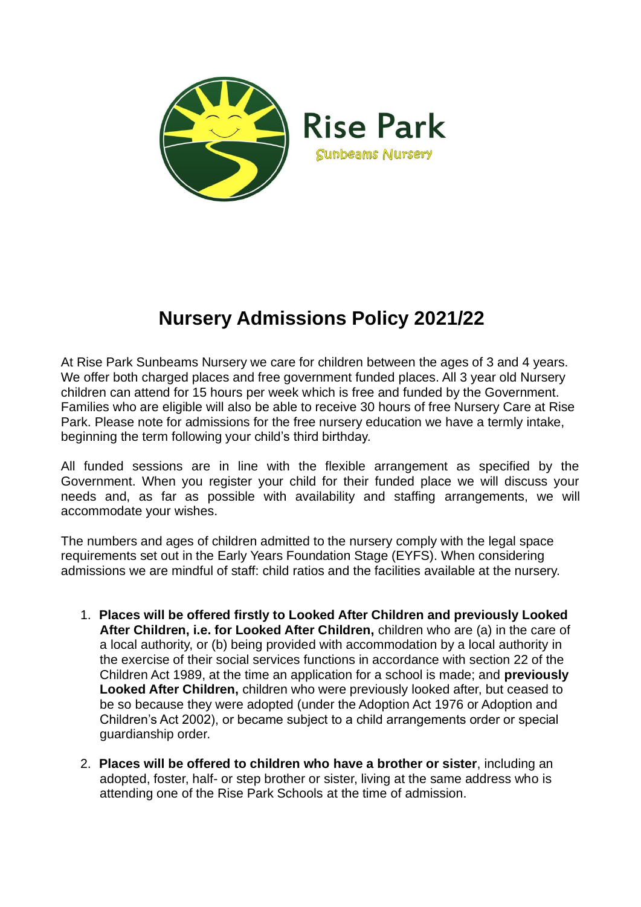

## **Nursery Admissions Policy 2021/22**

At Rise Park Sunbeams Nursery we care for children between the ages of 3 and 4 years. We offer both charged places and free government funded places. All 3 year old Nursery children can attend for 15 hours per week which is free and funded by the Government. Families who are eligible will also be able to receive 30 hours of free Nursery Care at Rise Park. Please note for admissions for the free nursery education we have a termly intake, beginning the term following your child's third birthday.

All funded sessions are in line with the flexible arrangement as specified by the Government. When you register your child for their funded place we will discuss your needs and, as far as possible with availability and staffing arrangements, we will accommodate your wishes.

The numbers and ages of children admitted to the nursery comply with the legal space requirements set out in the Early Years Foundation Stage (EYFS). When considering admissions we are mindful of staff: child ratios and the facilities available at the nursery.

- 1. **Places will be offered firstly to Looked After Children and previously Looked After Children, i.e. for Looked After Children,** children who are (a) in the care of a local authority, or (b) being provided with accommodation by a local authority in the exercise of their social services functions in accordance with section 22 of the Children Act 1989, at the time an application for a school is made; and **previously Looked After Children,** children who were previously looked after, but ceased to be so because they were adopted (under the Adoption Act 1976 or Adoption and Children's Act 2002), or became subject to a child arrangements order or special guardianship order.
- 2. **Places will be offered to children who have a brother or sister**, including an adopted, foster, half- or step brother or sister, living at the same address who is attending one of the Rise Park Schools at the time of admission.